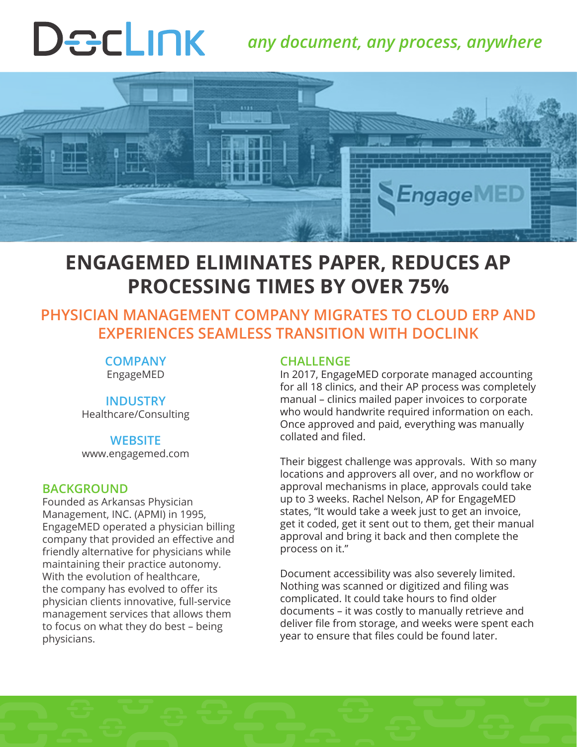# Declink

# *any document, any process, anywhere*



# **ENGAGEMED ELIMINATES PAPER, REDUCES AP PROCESSING TIMES BY OVER 75%**

### **PHYSICIAN MANAGEMENT COMPANY MIGRATES TO CLOUD ERP AND EXPERIENCES SEAMLESS TRANSITION WITH DOCLINK**

#### **COMPANY** EngageMED

#### **INDUSTRY**

Healthcare/Consulting

#### **WEBSITE**

www.engagemed.com

#### **BACKGROUND**

Founded as Arkansas Physician Management, INC. (APMI) in 1995, EngageMED operated a physician billing company that provided an effective and friendly alternative for physicians while maintaining their practice autonomy. With the evolution of healthcare, the company has evolved to offer its physician clients innovative, full-service management services that allows them to focus on what they do best – being physicians.

#### **CHALLENGE**

In 2017, EngageMED corporate managed accounting for all 18 clinics, and their AP process was completely manual – clinics mailed paper invoices to corporate who would handwrite required information on each. Once approved and paid, everything was manually collated and filed.

Their biggest challenge was approvals. With so many locations and approvers all over, and no workflow or approval mechanisms in place, approvals could take up to 3 weeks. Rachel Nelson, AP for EngageMED states, "It would take a week just to get an invoice, get it coded, get it sent out to them, get their manual approval and bring it back and then complete the process on it."

Document accessibility was also severely limited. Nothing was scanned or digitized and filing was complicated. It could take hours to find older documents – it was costly to manually retrieve and deliver file from storage, and weeks were spent each year to ensure that files could be found later.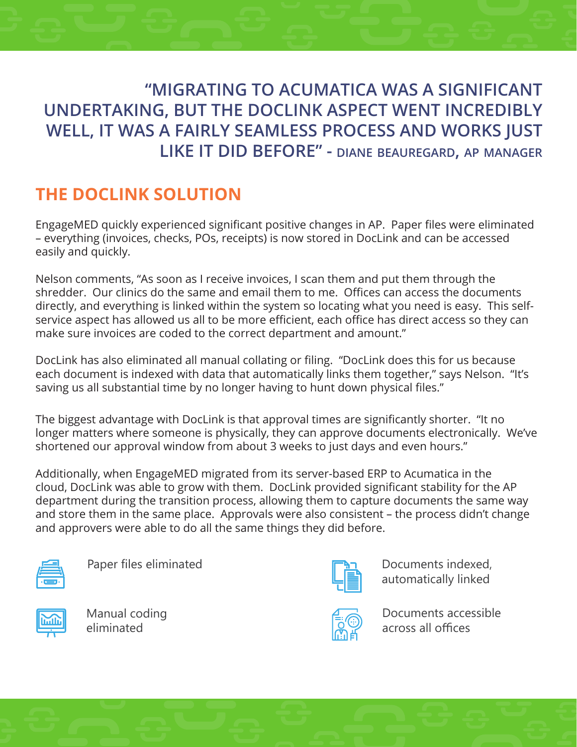## **"MIGRATING TO ACUMATICA WAS A SIGNIFICANT UNDERTAKING, BUT THE DOCLINK ASPECT WENT INCREDIBLY WELL, IT WAS A FAIRLY SEAMLESS PROCESS AND WORKS JUST LIKE IT DID BEFORE" - diane beauregard, ap manager**

# **THE DOCLINK SOLUTION**

EngageMED quickly experienced significant positive changes in AP. Paper files were eliminated – everything (invoices, checks, POs, receipts) is now stored in DocLink and can be accessed easily and quickly.

Nelson comments, "As soon as I receive invoices, I scan them and put them through the shredder. Our clinics do the same and email them to me. Offices can access the documents directly, and everything is linked within the system so locating what you need is easy. This selfservice aspect has allowed us all to be more efficient, each office has direct access so they can make sure invoices are coded to the correct department and amount."

DocLink has also eliminated all manual collating or filing. "DocLink does this for us because each document is indexed with data that automatically links them together," says Nelson. "It's saving us all substantial time by no longer having to hunt down physical files."

The biggest advantage with DocLink is that approval times are significantly shorter. "It no longer matters where someone is physically, they can approve documents electronically. We've shortened our approval window from about 3 weeks to just days and even hours."

Additionally, when EngageMED migrated from its server-based ERP to Acumatica in the cloud, DocLink was able to grow with them. DocLink provided significant stability for the AP department during the transition process, allowing them to capture documents the same way and store them in the same place. Approvals were also consistent – the process didn't change and approvers were able to do all the same things they did before.



Paper files eliminated

Manual coding eliminated



Documents indexed, automatically linked



Documents accessible across all offices